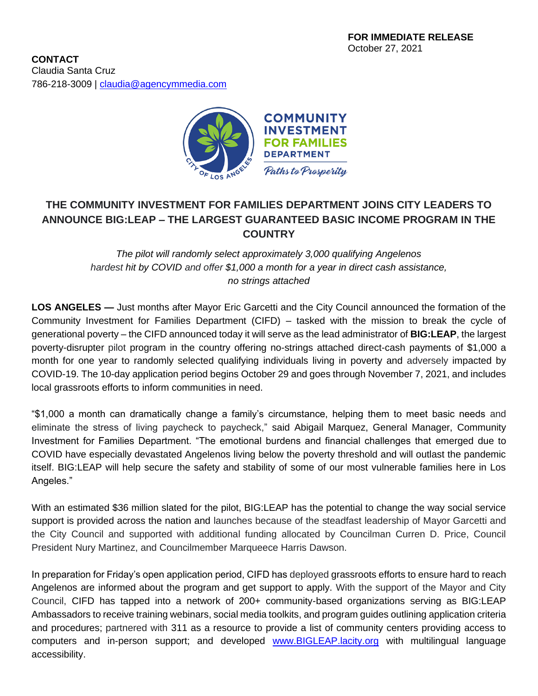

## **THE COMMUNITY INVESTMENT FOR FAMILIES DEPARTMENT JOINS CITY LEADERS TO ANNOUNCE BIG:LEAP – THE LARGEST GUARANTEED BASIC INCOME PROGRAM IN THE COUNTRY**

*The pilot will randomly select approximately 3,000 qualifying Angelenos hardest hit by COVID and offer \$1,000 a month for a year in direct cash assistance, no strings attached*

**LOS ANGELES —** Just months after Mayor Eric Garcetti and the City Council announced the formation of the Community Investment for Families Department (CIFD) – tasked with the mission to break the cycle of generational poverty – the CIFD announced today it will serve as the lead administrator of **BIG:LEAP**, the largest poverty-disrupter pilot program in the country offering no-strings attached direct-cash payments of \$1,000 a month for one year to randomly selected qualifying individuals living in poverty and adversely impacted by COVID-19. The 10-day application period begins October 29 and goes through November 7, 2021, and includes local grassroots efforts to inform communities in need.

"\$1,000 a month can dramatically change a family's circumstance, helping them to meet basic needs and eliminate the stress of living paycheck to paycheck," said Abigail Marquez, General Manager, Community Investment for Families Department. "The emotional burdens and financial challenges that emerged due to COVID have especially devastated Angelenos living below the poverty threshold and will outlast the pandemic itself. BIG:LEAP will help secure the safety and stability of some of our most vulnerable families here in Los Angeles."

With an estimated \$36 million slated for the pilot, BIG:LEAP has the potential to change the way social service support is provided across the nation and launches because of the steadfast leadership of Mayor Garcetti and the City Council and supported with additional funding allocated by Councilman Curren D. Price, Council President Nury Martinez, and Councilmember Marqueece Harris Dawson.

In preparation for Friday's open application period, CIFD has deployed grassroots efforts to ensure hard to reach Angelenos are informed about the program and get support to apply. With the support of the Mayor and City Council, CIFD has tapped into a network of 200+ community-based organizations serving as BIG:LEAP Ambassadors to receive training webinars, social media toolkits, and program guides outlining application criteria and procedures; partnered with 311 as a resource to provide a list of community centers providing access to computers and in-person support; and developed [www.BIGLEAP.lacity.org](http://www.bigleap.lacity.org/) with multilingual language accessibility.